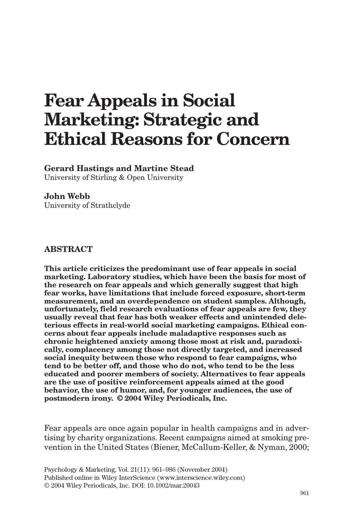## **Fear Appeals in Social Marketing: Strategic and Ethical Reasons for Concern**

**Gerard Hastings and Martine Stead**  University of Stirling & Open University

#### **John Webb**

University of Strathclyde

#### **ABSTRACT**

**This article criticizes the predominant use of fear appeals in social marketing. Laboratory studies, which have been the basis for most of the research on fear appeals and which generally suggest that high fear works, have limitations that include forced exposure, short-term measurement, and an overdependence on student samples. Although, unfortunately, field research evaluations of fear appeals are few, they usually reveal that fear has both weaker effects and unintended deleterious effects in real-world social marketing campaigns. Ethical concerns about fear appeals include maladaptive responses such as chronic heightened anxiety among those most at risk and, paradoxically, complacency among those not directly targeted, and increased social inequity between those who respond to fear campaigns, who tend to be better off, and those who do not, who tend to be the less educated and poorer members of society. Alternatives to fear appeals are the use of positive reinforcement appeals aimed at the good behavior, the use of humor, and, for younger audiences, the use of postmodern irony. © 2004 Wiley Periodicals, Inc.**

Fear appeals are once again popular in health campaigns and in advertising by charity organizations. Recent campaigns aimed at smoking prevention in the United States (Biener, McCallum-Keller, & Nyman, 2000;

Psychology & Marketing, Vol. 21(11): 961–986 (November 2004) Published online in Wiley InterScience (www.interscience.wiley.com) © 2004 Wiley Periodicals, Inc. DOI: 10.1002/mar.20043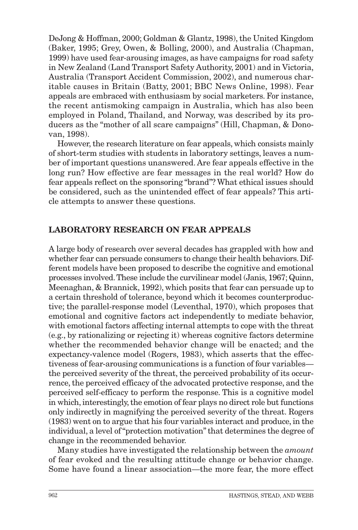DeJong & Hoffman, 2000; Goldman & Glantz, 1998), the United Kingdom (Baker, 1995; Grey, Owen, & Bolling, 2000), and Australia (Chapman, 1999) have used fear-arousing images, as have campaigns for road safety in New Zealand (Land Transport Safety Authority, 2001) and in Victoria, Australia (Transport Accident Commission, 2002), and numerous charitable causes in Britain (Batty, 2001; BBC News Online, 1998). Fear appeals are embraced with enthusiasm by social marketers. For instance, the recent antismoking campaign in Australia, which has also been employed in Poland, Thailand, and Norway, was described by its producers as the "mother of all scare campaigns" (Hill, Chapman, & Donovan, 1998).

However, the research literature on fear appeals, which consists mainly of short-term studies with students in laboratory settings, leaves a number of important questions unanswered. Are fear appeals effective in the long run? How effective are fear messages in the real world? How do fear appeals reflect on the sponsoring "brand"? What ethical issues should be considered, such as the unintended effect of fear appeals? This article attempts to answer these questions.

### **LABORATORY RESEARCH ON FEAR APPEALS**

A large body of research over several decades has grappled with how and whether fear can persuade consumers to change their health behaviors. Different models have been proposed to describe the cognitive and emotional processes involved.These include the curvilinear model (Janis, 1967; Quinn, Meenaghan, & Brannick, 1992), which posits that fear can persuade up to a certain threshold of tolerance, beyond which it becomes counterproductive; the parallel-response model (Leventhal, 1970), which proposes that emotional and cognitive factors act independently to mediate behavior, with emotional factors affecting internal attempts to cope with the threat (e.g., by rationalizing or rejecting it) whereas cognitive factors determine whether the recommended behavior change will be enacted; and the expectancy-valence model (Rogers, 1983), which asserts that the effectiveness of fear-arousing communications is a function of four variables the perceived severity of the threat, the perceived probability of its occurrence, the perceived efficacy of the advocated protective response, and the perceived self-efficacy to perform the response. This is a cognitive model in which, interestingly, the emotion of fear plays no direct role but functions only indirectly in magnifying the perceived severity of the threat. Rogers (1983) went on to argue that his four variables interact and produce, in the individual, a level of "protection motivation" that determines the degree of change in the recommended behavior.

Many studies have investigated the relationship between the *amount* of fear evoked and the resulting attitude change or behavior change. Some have found a linear association—the more fear, the more effect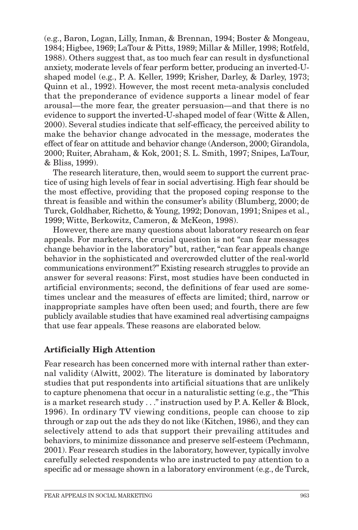(e.g., Baron, Logan, Lilly, Inman, & Brennan, 1994; Boster & Mongeau, 1984; Higbee, 1969; LaTour & Pitts, 1989; Millar & Miller, 1998; Rotfeld, 1988). Others suggest that, as too much fear can result in dysfunctional anxiety, moderate levels of fear perform better, producing an inverted-Ushaped model (e.g., P. A. Keller, 1999; Krisher, Darley, & Darley, 1973; Quinn et al., 1992). However, the most recent meta-analysis concluded that the preponderance of evidence supports a linear model of fear arousal—the more fear, the greater persuasion—and that there is no evidence to support the inverted-U-shaped model of fear (Witte & Allen, 2000). Several studies indicate that self-efficacy, the perceived ability to make the behavior change advocated in the message, moderates the effect of fear on attitude and behavior change (Anderson, 2000; Girandola, 2000; Ruiter, Abraham, & Kok, 2001; S. L. Smith, 1997; Snipes, LaTour, & Bliss, 1999).

The research literature, then, would seem to support the current practice of using high levels of fear in social advertising. High fear should be the most effective, providing that the proposed coping response to the threat is feasible and within the consumer's ability (Blumberg, 2000; de Turck, Goldhaber, Richetto, & Young, 1992; Donovan, 1991; Snipes et al., 1999; Witte, Berkowitz, Cameron, & McKeon, 1998).

However, there are many questions about laboratory research on fear appeals. For marketers, the crucial question is not "can fear messages change behavior in the laboratory" but, rather, "can fear appeals change behavior in the sophisticated and overcrowded clutter of the real-world communications environment?" Existing research struggles to provide an answer for several reasons: First, most studies have been conducted in artificial environments; second, the definitions of fear used are sometimes unclear and the measures of effects are limited; third, narrow or inappropriate samples have often been used; and fourth, there are few publicly available studies that have examined real advertising campaigns that use fear appeals. These reasons are elaborated below.

### **Artificially High Attention**

Fear research has been concerned more with internal rather than external validity (Alwitt, 2002). The literature is dominated by laboratory studies that put respondents into artificial situations that are unlikely to capture phenomena that occur in a naturalistic setting (e.g., the "This is a market research study . . ." instruction used by P. A. Keller & Block, 1996). In ordinary TV viewing conditions, people can choose to zip through or zap out the ads they do not like (Kitchen, 1986), and they can selectively attend to ads that support their prevailing attitudes and behaviors, to minimize dissonance and preserve self-esteem (Pechmann, 2001). Fear research studies in the laboratory, however, typically involve carefully selected respondents who are instructed to pay attention to a specific ad or message shown in a laboratory environment (e.g., de Turck,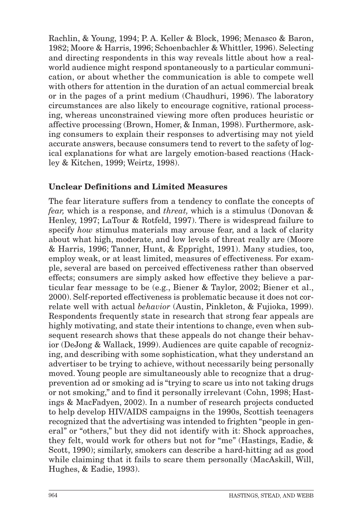Rachlin, & Young, 1994; P. A. Keller & Block, 1996; Menasco & Baron, 1982; Moore & Harris, 1996; Schoenbachler & Whittler, 1996). Selecting and directing respondents in this way reveals little about how a realworld audience might respond spontaneously to a particular communication, or about whether the communication is able to compete well with others for attention in the duration of an actual commercial break or in the pages of a print medium (Chaudhuri, 1996). The laboratory circumstances are also likely to encourage cognitive, rational processing, whereas unconstrained viewing more often produces heuristic or affective processing (Brown, Homer, & Inman, 1998). Furthermore, asking consumers to explain their responses to advertising may not yield accurate answers, because consumers tend to revert to the safety of logical explanations for what are largely emotion-based reactions (Hackley & Kitchen, 1999; Weirtz, 1998).

## **Unclear Definitions and Limited Measures**

The fear literature suffers from a tendency to conflate the concepts of *fear,* which is a response, and *threat,* which is a stimulus (Donovan & Henley, 1997; LaTour & Rotfeld, 1997). There is widespread failure to specify *how* stimulus materials may arouse fear, and a lack of clarity about what high, moderate, and low levels of threat really are (Moore & Harris, 1996; Tanner, Hunt, & Eppright, 1991). Many studies, too, employ weak, or at least limited, measures of effectiveness. For example, several are based on perceived effectiveness rather than observed effects; consumers are simply asked how effective they believe a particular fear message to be (e.g., Biener & Taylor, 2002; Biener et al., 2000). Self-reported effectiveness is problematic because it does not correlate well with actual *behavior* (Austin, Pinkleton, & Fujioka, 1999). Respondents frequently state in research that strong fear appeals are highly motivating, and state their intentions to change, even when subsequent research shows that these appeals do not change their behavior (DeJong & Wallack, 1999). Audiences are quite capable of recognizing, and describing with some sophistication, what they understand an advertiser to be trying to achieve, without necessarily being personally moved. Young people are simultaneously able to recognize that a drugprevention ad or smoking ad is "trying to scare us into not taking drugs or not smoking," and to find it personally irrelevant (Cohn, 1998; Hastings & MacFadyen, 2002). In a number of research projects conducted to help develop HIV/AIDS campaigns in the 1990s, Scottish teenagers recognized that the advertising was intended to frighten "people in general" or "others," but they did not identify with it: Shock approaches, they felt, would work for others but not for "me" (Hastings, Eadie, & Scott, 1990); similarly, smokers can describe a hard-hitting ad as good while claiming that it fails to scare them personally (MacAskill, Will, Hughes, & Eadie, 1993).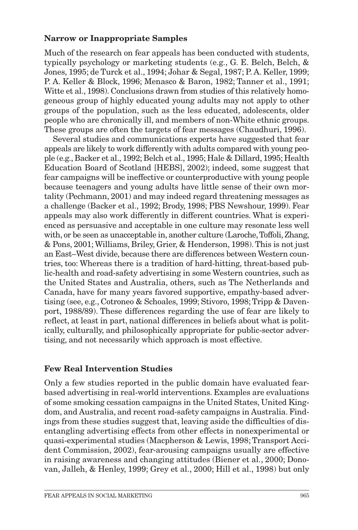## **Narrow or Inappropriate Samples**

Much of the research on fear appeals has been conducted with students, typically psychology or marketing students (e.g., G. E. Belch, Belch, & Jones, 1995; de Turck et al., 1994; Johar & Segal, 1987; P. A. Keller, 1999; P. A. Keller & Block, 1996; Menasco & Baron, 1982; Tanner et al., 1991; Witte et al., 1998). Conclusions drawn from studies of this relatively homogeneous group of highly educated young adults may not apply to other groups of the population, such as the less educated, adolescents, older people who are chronically ill, and members of non-White ethnic groups. These groups are often the targets of fear messages (Chaudhuri, 1996).

Several studies and communications experts have suggested that fear appeals are likely to work differently with adults compared with young people (e.g., Backer et al., 1992; Belch et al., 1995; Hale & Dillard, 1995; Health Education Board of Scotland [HEBS], 2002); indeed, some suggest that fear campaigns will be ineffective or counterproductive with young people because teenagers and young adults have little sense of their own mortality (Pechmann, 2001) and may indeed regard threatening messages as a challenge (Backer et al., 1992; Brody, 1998; PBS Newshour, 1999). Fear appeals may also work differently in different countries. What is experienced as persuasive and acceptable in one culture may resonate less well with, or be seen as unacceptable in, another culture (Laroche, Toffoli, Zhang, & Pons, 2001; Williams, Briley, Grier, & Henderson, 1998). This is not just an East–West divide, because there are differences between Western countries, too: Whereas there is a tradition of hard-hitting, threat-based public-health and road-safety advertising in some Western countries, such as the United States and Australia, others, such as The Netherlands and Canada, have for many years favored supportive, empathy-based advertising (see, e.g., Cotroneo & Schoales, 1999; Stivoro, 1998; Tripp & Davenport, 1988/89). These differences regarding the use of fear are likely to reflect, at least in part, national differences in beliefs about what is politically, culturally, and philosophically appropriate for public-sector advertising, and not necessarily which approach is most effective.

## **Few Real Intervention Studies**

Only a few studies reported in the public domain have evaluated fearbased advertising in real-world interventions. Examples are evaluations of some smoking cessation campaigns in the United States, United Kingdom, and Australia, and recent road-safety campaigns in Australia. Findings from these studies suggest that, leaving aside the difficulties of disentangling advertising effects from other effects in nonexperimental or quasi-experimental studies (Macpherson & Lewis, 1998; Transport Accident Commission, 2002), fear-arousing campaigns usually are effective in raising awareness and changing attitudes (Biener et al., 2000; Donovan, Jalleh, & Henley, 1999; Grey et al., 2000; Hill et al., 1998) but only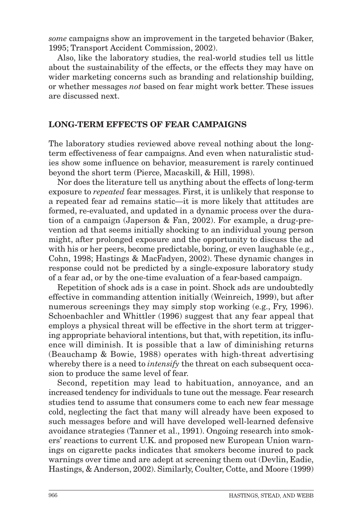*some* campaigns show an improvement in the targeted behavior (Baker, 1995; Transport Accident Commission, 2002).

Also, like the laboratory studies, the real-world studies tell us little about the sustainability of the effects, or the effects they may have on wider marketing concerns such as branding and relationship building, or whether messages *not* based on fear might work better. These issues are discussed next.

#### **LONG-TERM EFFECTS OF FEAR CAMPAIGNS**

The laboratory studies reviewed above reveal nothing about the longterm effectiveness of fear campaigns. And even when naturalistic studies show some influence on behavior, measurement is rarely continued beyond the short term (Pierce, Macaskill, & Hill, 1998).

Nor does the literature tell us anything about the effects of long-term exposure to *repeated* fear messages. First, it is unlikely that response to a repeated fear ad remains static—it is more likely that attitudes are formed, re-evaluated, and updated in a dynamic process over the duration of a campaign (Japerson & Fan, 2002). For example, a drug-prevention ad that seems initially shocking to an individual young person might, after prolonged exposure and the opportunity to discuss the ad with his or her peers, become predictable, boring, or even laughable (e.g., Cohn, 1998; Hastings & MacFadyen, 2002). These dynamic changes in response could not be predicted by a single-exposure laboratory study of a fear ad, or by the one-time evaluation of a fear-based campaign.

Repetition of shock ads is a case in point. Shock ads are undoubtedly effective in commanding attention initially (Weinreich, 1999), but after numerous screenings they may simply stop working (e.g., Fry, 1996). Schoenbachler and Whittler (1996) suggest that any fear appeal that employs a physical threat will be effective in the short term at triggering appropriate behavioral intentions, but that, with repetition, its influence will diminish. It is possible that a law of diminishing returns (Beauchamp & Bowie, 1988) operates with high-threat advertising whereby there is a need to *intensify* the threat on each subsequent occasion to produce the same level of fear.

Second, repetition may lead to habituation, annoyance, and an increased tendency for individuals to tune out the message. Fear research studies tend to assume that consumers come to each new fear message cold, neglecting the fact that many will already have been exposed to such messages before and will have developed well-learned defensive avoidance strategies (Tanner et al., 1991). Ongoing research into smokers' reactions to current U.K. and proposed new European Union warnings on cigarette packs indicates that smokers become inured to pack warnings over time and are adept at screening them out (Devlin, Eadie, Hastings, & Anderson, 2002). Similarly, Coulter, Cotte, and Moore (1999)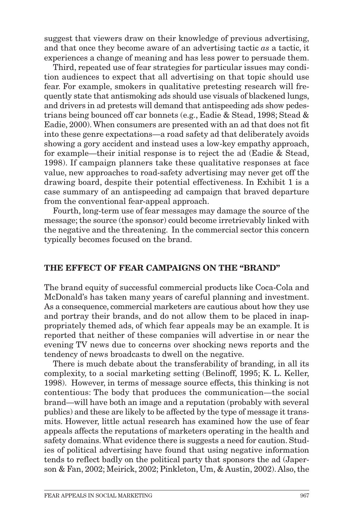suggest that viewers draw on their knowledge of previous advertising, and that once they become aware of an advertising tactic *as* a tactic, it experiences a change of meaning and has less power to persuade them.

Third, repeated use of fear strategies for particular issues may condition audiences to expect that all advertising on that topic should use fear. For example, smokers in qualitative pretesting research will frequently state that antismoking ads should use visuals of blackened lungs, and drivers in ad pretests will demand that antispeeding ads show pedestrians being bounced off car bonnets (e.g., Eadie & Stead, 1998; Stead & Eadie, 2000). When consumers are presented with an ad that does not fit into these genre expectations—a road safety ad that deliberately avoids showing a gory accident and instead uses a low-key empathy approach, for example—their initial response is to reject the ad (Eadie & Stead, 1998). If campaign planners take these qualitative responses at face value, new approaches to road-safety advertising may never get off the drawing board, despite their potential effectiveness. In Exhibit 1 is a case summary of an antispeeding ad campaign that braved departure from the conventional fear-appeal approach.

Fourth, long-term use of fear messages may damage the source of the message; the source (the sponsor) could become irretrievably linked with the negative and the threatening. In the commercial sector this concern typically becomes focused on the brand.

#### **THE EFFECT OF FEAR CAMPAIGNS ON THE "BRAND"**

The brand equity of successful commercial products like Coca-Cola and McDonald's has taken many years of careful planning and investment. As a consequence, commercial marketers are cautious about how they use and portray their brands, and do not allow them to be placed in inappropriately themed ads, of which fear appeals may be an example. It is reported that neither of these companies will advertise in or near the evening TV news due to concerns over shocking news reports and the tendency of news broadcasts to dwell on the negative.

There is much debate about the transferability of branding, in all its complexity, to a social marketing setting (Belinoff, 1995; K. L. Keller, 1998). However, in terms of message source effects, this thinking is not contentious: The body that produces the communication—the social brand—will have both an image and a reputation (probably with several publics) and these are likely to be affected by the type of message it transmits. However, little actual research has examined how the use of fear appeals affects the reputations of marketers operating in the health and safety domains. What evidence there is suggests a need for caution. Studies of political advertising have found that using negative information tends to reflect badly on the political party that sponsors the ad (Japerson & Fan, 2002; Meirick, 2002; Pinkleton, Um, & Austin, 2002). Also, the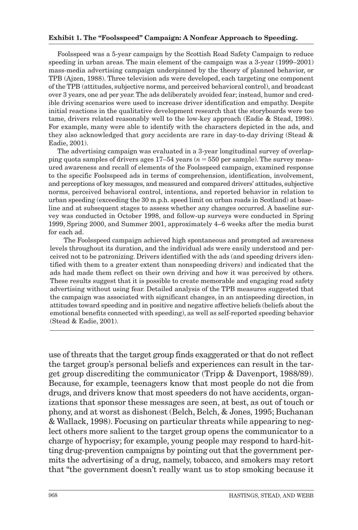#### **Exhibit 1. The "Foolsspeed" Campaign: A Nonfear Approach to Speeding.**

Foolsspeed was a 5-year campaign by the Scottish Road Safety Campaign to reduce speeding in urban areas. The main element of the campaign was a 3-year (1999–2001) mass-media advertising campaign underpinned by the theory of planned behavior, or TPB (Ajzen, 1988). Three television ads were developed, each targeting one component of the TPB (attitudes, subjective norms, and perceived behavioral control), and broadcast over 3 years, one ad per year. The ads deliberately avoided fear; instead, humor and credible driving scenarios were used to increase driver identification and empathy. Despite initial reactions in the qualitative development research that the storyboards were too tame, drivers related reasonably well to the low-key approach (Eadie & Stead, 1998). For example, many were able to identify with the characters depicted in the ads, and they also acknowledged that gory accidents are rare in day-to-day driving (Stead & Eadie, 2001).

The advertising campaign was evaluated in a 3-year longitudinal survey of overlapping quota samples of drivers ages  $17-54$  years  $(n = 550$  per sample). The survey measured awareness and recall of elements of the Foolsspeed campaign, examined response to the specific Foolsspeed ads in terms of comprehension, identification, involvement, and perceptions of key messages, and measured and compared drivers' attitudes, subjective norms, perceived behavioral control, intentions, and reported behavior in relation to urban speeding (exceeding the 30 m.p.h. speed limit on urban roads in Scotland) at baseline and at subsequent stages to assess whether any changes occurred. A baseline survey was conducted in October 1998, and follow-up surveys were conducted in Spring 1999, Spring 2000, and Summer 2001, approximately 4–6 weeks after the media burst for each ad.

The Foolsspeed campaign achieved high spontaneous and prompted ad awareness levels throughout its duration, and the individual ads were easily understood and perceived not to be patronizing. Drivers identified with the ads (and speeding drivers identified with them to a greater extent than nonspeeding drivers) and indicated that the ads had made them reflect on their own driving and how it was perceived by others. These results suggest that it is possible to create memorable and engaging road safety advertising without using fear. Detailed analysis of the TPB measures suggested that the campaign was associated with significant changes, in an antispeeding direction, in attitudes toward speeding and in positive and negative affective beliefs (beliefs about the emotional benefits connected with speeding), as well as self-reported speeding behavior (Stead & Eadie, 2001).

use of threats that the target group finds exaggerated or that do not reflect the target group's personal beliefs and experiences can result in the target group discrediting the communicator (Tripp & Davenport, 1988/89). Because, for example, teenagers know that most people do not die from drugs, and drivers know that most speeders do not have accidents, organizations that sponsor these messages are seen, at best, as out of touch or phony, and at worst as dishonest (Belch, Belch, & Jones, 1995; Buchanan & Wallack, 1998). Focusing on particular threats while appearing to neglect others more salient to the target group opens the communicator to a charge of hypocrisy; for example, young people may respond to hard-hitting drug-prevention campaigns by pointing out that the government permits the advertising of a drug, namely, tobacco, and smokers may retort that "the government doesn't really want us to stop smoking because it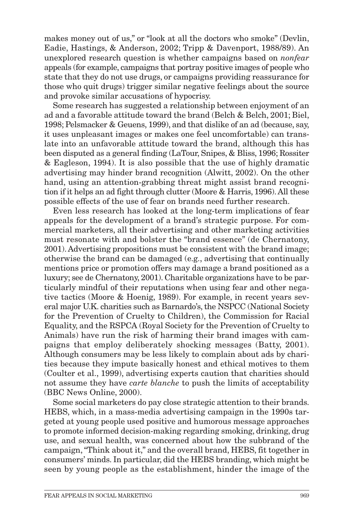makes money out of us," or "look at all the doctors who smoke" (Devlin, Eadie, Hastings, & Anderson, 2002; Tripp & Davenport, 1988/89). An unexplored research question is whether campaigns based on *nonfear* appeals (for example, campaigns that portray positive images of people who state that they do not use drugs, or campaigns providing reassurance for those who quit drugs) trigger similar negative feelings about the source and provoke similar accusations of hypocrisy.

Some research has suggested a relationship between enjoyment of an ad and a favorable attitude toward the brand (Belch & Belch, 2001; Biel, 1998; Pelsmacker & Geuens, 1999), and that dislike of an ad (because, say, it uses unpleasant images or makes one feel uncomfortable) can translate into an unfavorable attitude toward the brand, although this has been disputed as a general finding (LaTour, Snipes, & Bliss, 1996; Rossiter & Eagleson, 1994). It is also possible that the use of highly dramatic advertising may hinder brand recognition (Alwitt, 2002). On the other hand, using an attention-grabbing threat might assist brand recognition if it helps an ad fight through clutter (Moore & Harris, 1996). All these possible effects of the use of fear on brands need further research.

Even less research has looked at the long-term implications of fear appeals for the development of a brand's strategic purpose. For commercial marketers, all their advertising and other marketing activities must resonate with and bolster the "brand essence" (de Chernatony, 2001). Advertising propositions must be consistent with the brand image; otherwise the brand can be damaged (e.g., advertising that continually mentions price or promotion offers may damage a brand positioned as a luxury; see de Chernatony, 2001). Charitable organizations have to be particularly mindful of their reputations when using fear and other negative tactics (Moore & Hoenig, 1989). For example, in recent years several major U.K. charities such as Barnardo's, the NSPCC (National Society for the Prevention of Cruelty to Children), the Commission for Racial Equality, and the RSPCA (Royal Society for the Prevention of Cruelty to Animals) have run the risk of harming their brand images with campaigns that employ deliberately shocking messages (Batty, 2001). Although consumers may be less likely to complain about ads by charities because they impute basically honest and ethical motives to them (Coulter et al., 1999), advertising experts caution that charities should not assume they have *carte blanche* to push the limits of acceptability (BBC News Online, 2000).

Some social marketers do pay close strategic attention to their brands. HEBS, which, in a mass-media advertising campaign in the 1990s targeted at young people used positive and humorous message approaches to promote informed decision-making regarding smoking, drinking, drug use, and sexual health, was concerned about how the subbrand of the campaign, "Think about it," and the overall brand, HEBS, fit together in consumers' minds. In particular, did the HEBS branding, which might be seen by young people as the establishment, hinder the image of the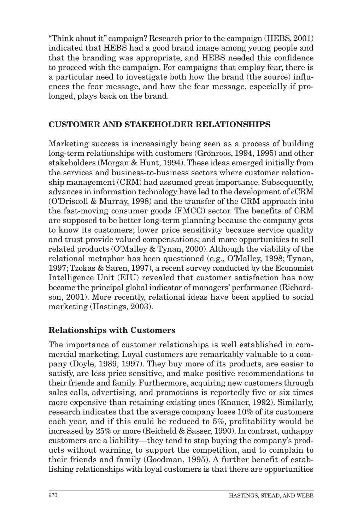"Think about it" campaign? Research prior to the campaign (HEBS, 2001) indicated that HEBS had a good brand image among young people and that the branding was appropriate, and HEBS needed this confidence to proceed with the campaign. For campaigns that employ fear, there is a particular need to investigate both how the brand (the source) influences the fear message, and how the fear message, especially if prolonged, plays back on the brand.

## **CUSTOMER AND STAKEHOLDER RELATIONSHIPS**

Marketing success is increasingly being seen as a process of building long-term relationships with customers (Grönroos, 1994, 1995) and other stakeholders (Morgan & Hunt, 1994). These ideas emerged initially from the services and business-to-business sectors where customer relationship management (CRM) had assumed great importance. Subsequently, advances in information technology have led to the development of *e*CRM (O'Driscoll & Murray, 1998) and the transfer of the CRM approach into the fast-moving consumer goods (FMCG) sector. The benefits of CRM are supposed to be better long-term planning because the company gets to know its customers; lower price sensitivity because service quality and trust provide valued compensations; and more opportunities to sell related products (O'Malley & Tynan, 2000). Although the viability of the relational metaphor has been questioned (e.g., O'Malley, 1998; Tynan, 1997; Tzokas & Saren, 1997), a recent survey conducted by the Economist Intelligence Unit (EIU) revealed that customer satisfaction has now become the principal global indicator of managers' performance (Richardson, 2001). More recently, relational ideas have been applied to social marketing (Hastings, 2003).

## **Relationships with Customers**

The importance of customer relationships is well established in commercial marketing. Loyal customers are remarkably valuable to a company (Doyle, 1989, 1997). They buy more of its products, are easier to satisfy, are less price sensitive, and make positive recommendations to their friends and family. Furthermore, acquiring new customers through sales calls, advertising, and promotions is reportedly five or six times more expensive than retaining existing ones (Knauer, 1992). Similarly, research indicates that the average company loses 10% of its customers each year, and if this could be reduced to 5%, profitability would be increased by 25% or more (Reicheld & Sasser, 1990). In contrast, unhappy customers are a liability—they tend to stop buying the company's products without warning, to support the competition, and to complain to their friends and family (Goodman, 1995). A further benefit of establishing relationships with loyal customers is that there are opportunities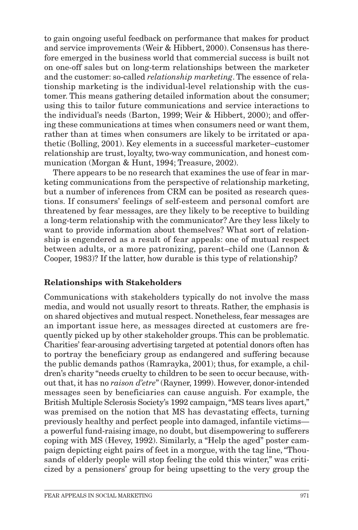to gain ongoing useful feedback on performance that makes for product and service improvements (Weir & Hibbert, 2000). Consensus has therefore emerged in the business world that commercial success is built not on one-off sales but on long-term relationships between the marketer and the customer: so-called *relationship marketing*. The essence of relationship marketing is the individual-level relationship with the customer. This means gathering detailed information about the consumer; using this to tailor future communications and service interactions to the individual's needs (Barton, 1999; Weir & Hibbert, 2000); and offering these communications at times when consumers need or want them, rather than at times when consumers are likely to be irritated or apathetic (Bolling, 2001). Key elements in a successful marketer–customer relationship are trust, loyalty, two-way communication, and honest communication (Morgan & Hunt, 1994; Treasure, 2002).

There appears to be no research that examines the use of fear in marketing communications from the perspective of relationship marketing, but a number of inferences from CRM can be posited as research questions. If consumers' feelings of self-esteem and personal comfort are threatened by fear messages, are they likely to be receptive to building a long-term relationship with the communicator? Are they less likely to want to provide information about themselves? What sort of relationship is engendered as a result of fear appeals: one of mutual respect between adults, or a more patronizing, parent–child one (Lannon & Cooper, 1983)? If the latter, how durable is this type of relationship?

### **Relationships with Stakeholders**

Communications with stakeholders typically do not involve the mass media, and would not usually resort to threats. Rather, the emphasis is on shared objectives and mutual respect. Nonetheless, fear messages are an important issue here, as messages directed at customers are frequently picked up by other stakeholder groups. This can be problematic. Charities' fear-arousing advertising targeted at potential donors often has to portray the beneficiary group as endangered and suffering because the public demands pathos (Ramrayka, 2001); thus, for example, a children's charity "needs cruelty to children to be seen to occur because, without that, it has no *raison d'etre*"(Rayner, 1999). However, donor-intended messages seen by beneficiaries can cause anguish. For example, the British Multiple Sclerosis Society's 1992 campaign, "MS tears lives apart," was premised on the notion that MS has devastating effects, turning previously healthy and perfect people into damaged, infantile victims a powerful fund-raising image, no doubt, but disempowering to sufferers coping with MS (Hevey, 1992). Similarly, a "Help the aged" poster campaign depicting eight pairs of feet in a morgue, with the tag line, "Thousands of elderly people will stop feeling the cold this winter," was criticized by a pensioners' group for being upsetting to the very group the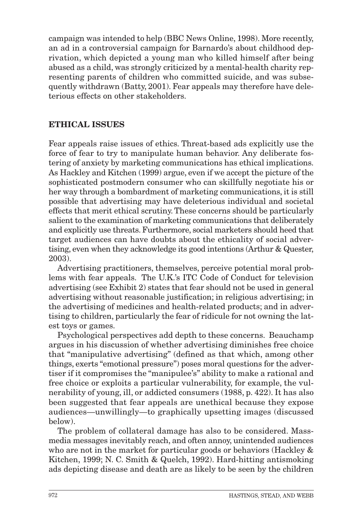campaign was intended to help (BBC News Online, 1998). More recently, an ad in a controversial campaign for Barnardo's about childhood deprivation, which depicted a young man who killed himself after being abused as a child, was strongly criticized by a mental-health charity representing parents of children who committed suicide, and was subsequently withdrawn (Batty, 2001). Fear appeals may therefore have deleterious effects on other stakeholders.

## **ETHICAL ISSUES**

Fear appeals raise issues of ethics. Threat-based ads explicitly use the force of fear to try to manipulate human behavior. Any deliberate fostering of anxiety by marketing communications has ethical implications. As Hackley and Kitchen (1999) argue, even if we accept the picture of the sophisticated postmodern consumer who can skillfully negotiate his or her way through a bombardment of marketing communications, it is still possible that advertising may have deleterious individual and societal effects that merit ethical scrutiny. These concerns should be particularly salient to the examination of marketing communications that deliberately and explicitly use threats. Furthermore, social marketers should heed that target audiences can have doubts about the ethicality of social advertising, even when they acknowledge its good intentions (Arthur & Quester, 2003).

Advertising practitioners, themselves, perceive potential moral problems with fear appeals. The U.K.'s ITC Code of Conduct for television advertising (see Exhibit 2) states that fear should not be used in general advertising without reasonable justification; in religious advertising; in the advertising of medicines and health-related products; and in advertising to children, particularly the fear of ridicule for not owning the latest toys or games.

Psychological perspectives add depth to these concerns. Beauchamp argues in his discussion of whether advertising diminishes free choice that "manipulative advertising" (defined as that which, among other things, exerts "emotional pressure") poses moral questions for the advertiser if it compromises the "manipulee's" ability to make a rational and free choice or exploits a particular vulnerability, for example, the vulnerability of young, ill, or addicted consumers (1988, p. 422). It has also been suggested that fear appeals are unethical because they expose audiences—unwillingly—to graphically upsetting images (discussed below).

The problem of collateral damage has also to be considered. Massmedia messages inevitably reach, and often annoy, unintended audiences who are not in the market for particular goods or behaviors (Hackley & Kitchen, 1999; N. C. Smith & Quelch, 1992). Hard-hitting antismoking ads depicting disease and death are as likely to be seen by the children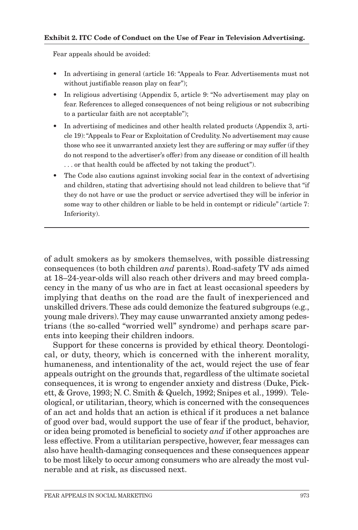Fear appeals should be avoided:

- In advertising in general (article 16: "Appeals to Fear. Advertisements must not without justifiable reason play on fear");
- In religious advertising (Appendix 5, article 9: "No advertisement may play on fear. References to alleged consequences of not being religious or not subscribing to a particular faith are not acceptable");
- In advertising of medicines and other health related products (Appendix 3, article 19): "Appeals to Fear or Exploitation of Credulity. No advertisement may cause those who see it unwarranted anxiety lest they are suffering or may suffer (if they do not respond to the advertiser's offer) from any disease or condition of ill health ... or that health could be affected by not taking the product").
- The Code also cautions against invoking social fear in the context of advertising and children, stating that advertising should not lead children to believe that "if they do not have or use the product or service advertised they will be inferior in some way to other children or liable to be held in contempt or ridicule" (article 7: Inferiority).

of adult smokers as by smokers themselves, with possible distressing consequences (to both children *and* parents). Road-safety TV ads aimed at 18–24-year-olds will also reach other drivers and may breed complacency in the many of us who are in fact at least occasional speeders by implying that deaths on the road are the fault of inexperienced and unskilled drivers. These ads could demonize the featured subgroups (e.g., young male drivers). They may cause unwarranted anxiety among pedestrians (the so-called "worried well" syndrome) and perhaps scare parents into keeping their children indoors.

Support for these concerns is provided by ethical theory. Deontological, or duty, theory, which is concerned with the inherent morality, humaneness, and intentionality of the act, would reject the use of fear appeals outright on the grounds that, regardless of the ultimate societal consequences, it is wrong to engender anxiety and distress (Duke, Pickett, & Grove, 1993; N. C. Smith & Quelch, 1992; Snipes et al., 1999). Teleological, or utilitarian, theory, which is concerned with the consequences of an act and holds that an action is ethical if it produces a net balance of good over bad, would support the use of fear if the product, behavior, or idea being promoted is beneficial to society *and* if other approaches are less effective. From a utilitarian perspective, however, fear messages can also have health-damaging consequences and these consequences appear to be most likely to occur among consumers who are already the most vulnerable and at risk, as discussed next.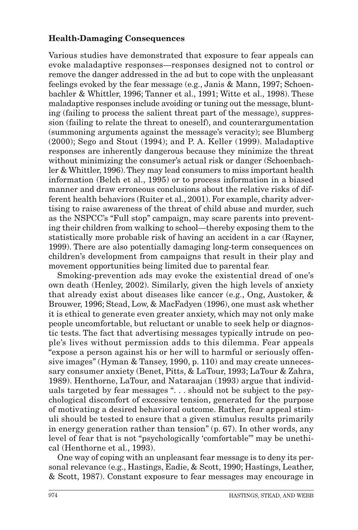#### **Health-Damaging Consequences**

Various studies have demonstrated that exposure to fear appeals can evoke maladaptive responses—responses designed not to control or remove the danger addressed in the ad but to cope with the unpleasant feelings evoked by the fear message (e.g., Janis & Mann, 1997; Schoenbachler & Whittler, 1996; Tanner et al., 1991; Witte et al., 1998). These maladaptive responses include avoiding or tuning out the message, blunting (failing to process the salient threat part of the message), suppression (failing to relate the threat to oneself), and counterargumentation (summoning arguments against the message's veracity); see Blumberg (2000); Sego and Stout (1994); and P. A. Keller (1999). Maladaptive responses are inherently dangerous because they minimize the threat without minimizing the consumer's actual risk or danger (Schoenbachler & Whittler, 1996). They may lead consumers to miss important health information (Belch et al., 1995) or to process information in a biased manner and draw erroneous conclusions about the relative risks of different health behaviors (Ruiter et al., 2001). For example, charity advertising to raise awareness of the threat of child abuse and murder, such as the NSPCC's "Full stop" campaign, may scare parents into preventing their children from walking to school—thereby exposing them to the statistically more probable risk of having an accident in a car (Rayner, 1999). There are also potentially damaging long-term consequences on children's development from campaigns that result in their play and movement opportunities being limited due to parental fear.

Smoking-prevention ads may evoke the existential dread of one's own death (Henley, 2002). Similarly, given the high levels of anxiety that already exist about diseases like cancer (e.g., Ong, Austoker, & Brouwer, 1996; Stead, Low, & MacFadyen (1996), one must ask whether it is ethical to generate even greater anxiety, which may not only make people uncomfortable, but reluctant or unable to seek help or diagnostic tests. The fact that advertising messages typically intrude on people's lives without permission adds to this dilemma. Fear appeals "expose a person against his or her will to harmful or seriously offensive images" (Hyman & Tansey, 1990, p. 110) and may create unnecessary consumer anxiety (Benet, Pitts, & LaTour, 1993; LaTour & Zahra, 1989). Henthorne, LaTour, and Nataraajan (1993) argue that individuals targeted by fear messages ". . . should not be subject to the psychological discomfort of excessive tension, generated for the purpose of motivating a desired behavioral outcome. Rather, fear appeal stimuli should be tested to ensure that a given stimulus results primarily in energy generation rather than tension" (p. 67). In other words, any level of fear that is not "psychologically 'comfortable'" may be unethical (Henthorne et al., 1993).

One way of coping with an unpleasant fear message is to deny its personal relevance (e.g., Hastings, Eadie, & Scott, 1990; Hastings, Leather, & Scott, 1987). Constant exposure to fear messages may encourage in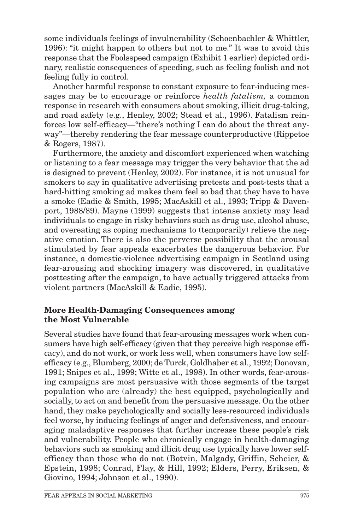some individuals feelings of invulnerability (Schoenbachler & Whittler, 1996): "it might happen to others but not to me." It was to avoid this response that the Foolsspeed campaign (Exhibit 1 earlier) depicted ordinary, realistic consequences of speeding, such as feeling foolish and not feeling fully in control.

Another harmful response to constant exposure to fear-inducing messages may be to encourage or reinforce *health fatalism,* a common response in research with consumers about smoking, illicit drug-taking, and road safety (e.g., Henley, 2002; Stead et al., 1996). Fatalism reinforces low self-efficacy—"there's nothing I can do about the threat anyway"—thereby rendering the fear message counterproductive (Rippetoe & Rogers, 1987).

Furthermore, the anxiety and discomfort experienced when watching or listening to a fear message may trigger the very behavior that the ad is designed to prevent (Henley, 2002). For instance, it is not unusual for smokers to say in qualitative advertising pretests and post-tests that a hard-hitting smoking ad makes them feel so bad that they have to have a smoke (Eadie & Smith, 1995; MacAskill et al., 1993; Tripp & Davenport, 1988/89). Mayne (1999) suggests that intense anxiety may lead individuals to engage in risky behaviors such as drug use, alcohol abuse, and overeating as coping mechanisms to (temporarily) relieve the negative emotion. There is also the perverse possibility that the arousal stimulated by fear appeals exacerbates the dangerous behavior. For instance, a domestic-violence advertising campaign in Scotland using fear-arousing and shocking imagery was discovered, in qualitative posttesting after the campaign, to have actually triggered attacks from violent partners (MacAskill & Eadie, 1995).

#### **More Health-Damaging Consequences among the Most Vulnerable**

Several studies have found that fear-arousing messages work when consumers have high self-efficacy (given that they perceive high response efficacy), and do not work, or work less well, when consumers have low selfefficacy (e.g., Blumberg, 2000; de Turck, Goldhaber et al., 1992; Donovan, 1991; Snipes et al., 1999; Witte et al., 1998). In other words, fear-arousing campaigns are most persuasive with those segments of the target population who are (already) the best equipped, psychologically and socially, to act on and benefit from the persuasive message. On the other hand, they make psychologically and socially less-resourced individuals feel worse, by inducing feelings of anger and defensiveness, and encouraging maladaptive responses that further increase these people's risk and vulnerability. People who chronically engage in health-damaging behaviors such as smoking and illicit drug use typically have lower selfefficacy than those who do not (Botvin, Malgady, Griffin, Scheier, & Epstein, 1998; Conrad, Flay, & Hill, 1992; Elders, Perry, Eriksen, & Giovino, 1994; Johnson et al., 1990).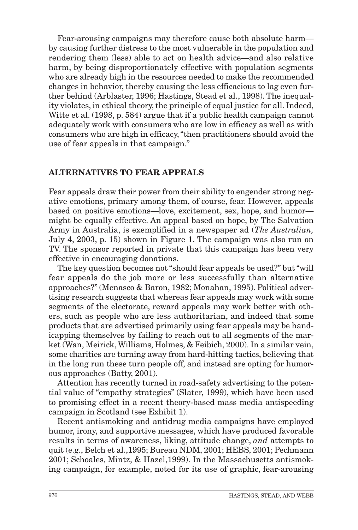Fear-arousing campaigns may therefore cause both absolute harm by causing further distress to the most vulnerable in the population and rendering them (less) able to act on health advice—and also relative harm, by being disproportionately effective with population segments who are already high in the resources needed to make the recommended changes in behavior, thereby causing the less efficacious to lag even further behind (Arblaster, 1996; Hastings, Stead et al., 1998). The inequality violates, in ethical theory, the principle of equal justice for all. Indeed, Witte et al. (1998, p. 584) argue that if a public health campaign cannot adequately work with consumers who are low in efficacy as well as with consumers who are high in efficacy, "then practitioners should avoid the use of fear appeals in that campaign."

#### **ALTERNATIVES TO FEAR APPEALS**

Fear appeals draw their power from their ability to engender strong negative emotions, primary among them, of course, fear. However, appeals based on positive emotions—love, excitement, sex, hope, and humor might be equally effective. An appeal based on hope, by The Salvation Army in Australia, is exemplified in a newspaper ad (*The Australian,* July 4, 2003, p. 15) shown in Figure 1. The campaign was also run on TV. The sponsor reported in private that this campaign has been very effective in encouraging donations.

The key question becomes not "should fear appeals be used?" but "will fear appeals do the job more or less successfully than alternative approaches?" (Menasco & Baron, 1982; Monahan, 1995). Political advertising research suggests that whereas fear appeals may work with some segments of the electorate, reward appeals may work better with others, such as people who are less authoritarian, and indeed that some products that are advertised primarily using fear appeals may be handicapping themselves by failing to reach out to all segments of the market (Wan, Meirick, Williams, Holmes, & Feibich, 2000). In a similar vein, some charities are turning away from hard-hitting tactics, believing that in the long run these turn people off, and instead are opting for humorous approaches (Batty, 2001).

Attention has recently turned in road-safety advertising to the potential value of "empathy strategies" (Slater, 1999), which have been used to promising effect in a recent theory-based mass media antispeeding campaign in Scotland (see Exhibit 1).

Recent antismoking and antidrug media campaigns have employed humor, irony, and supportive messages, which have produced favorable results in terms of awareness, liking, attitude change, *and* attempts to quit (e.g., Belch et al.,1995; Bureau NDM, 2001; HEBS, 2001; Pechmann 2001; Schoales, Mintz, & Hazel,1999). In the Massachusetts antismoking campaign, for example, noted for its use of graphic, fear-arousing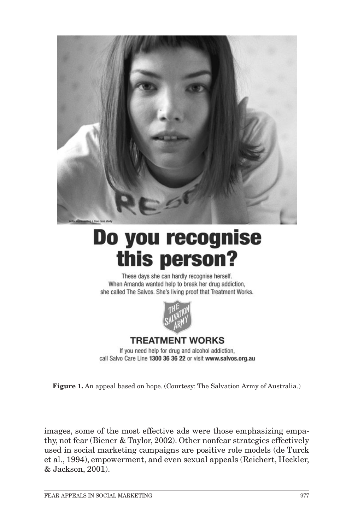

# Do you recognise this person?

These days she can hardly recognise herself. When Amanda wanted help to break her drug addiction, she called The Salvos. She's living proof that Treatment Works.



**TREATMENT WORKS** 

If you need help for drug and alcohol addiction, call Salvo Care Line 1300 36 36 22 or visit www.salvos.org.au

**Figure 1.** An appeal based on hope. (Courtesy: The Salvation Army of Australia.)

images, some of the most effective ads were those emphasizing empathy, not fear (Biener & Taylor, 2002). Other nonfear strategies effectively used in social marketing campaigns are positive role models (de Turck et al., 1994), empowerment, and even sexual appeals (Reichert, Heckler, & Jackson, 2001).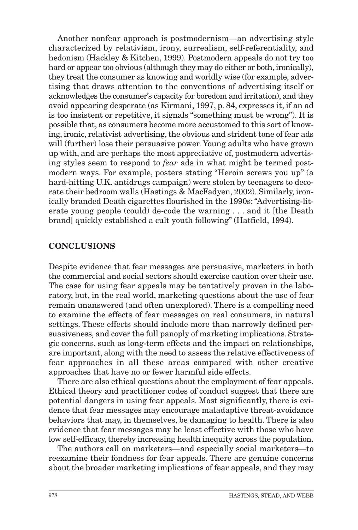Another nonfear approach is postmodernism—an advertising style characterized by relativism, irony, surrealism, self-referentiality, and hedonism (Hackley & Kitchen, 1999). Postmodern appeals do not try too hard or appear too obvious (although they may do either or both, ironically), they treat the consumer as knowing and worldly wise (for example, advertising that draws attention to the conventions of advertising itself or acknowledges the consumer's capacity for boredom and irritation), and they avoid appearing desperate (as Kirmani, 1997, p. 84, expresses it, if an ad is too insistent or repetitive, it signals "something must be wrong"). It is possible that, as consumers become more accustomed to this sort of knowing, ironic, relativist advertising, the obvious and strident tone of fear ads will (further) lose their persuasive power. Young adults who have grown up with, and are perhaps the most appreciative of, postmodern advertising styles seem to respond to *fear* ads in what might be termed postmodern ways. For example, posters stating "Heroin screws you up" (a hard-hitting U.K. antidrugs campaign) were stolen by teenagers to decorate their bedroom walls (Hastings & MacFadyen, 2002). Similarly, ironically branded Death cigarettes flourished in the 1990s: "Advertising-literate young people (could) de-code the warning . . . and it [the Death brand] quickly established a cult youth following" (Hatfield, 1994).

#### **CONCLUSIONS**

Despite evidence that fear messages are persuasive, marketers in both the commercial and social sectors should exercise caution over their use. The case for using fear appeals may be tentatively proven in the laboratory, but, in the real world, marketing questions about the use of fear remain unanswered (and often unexplored). There is a compelling need to examine the effects of fear messages on real consumers, in natural settings. These effects should include more than narrowly defined persuasiveness, and cover the full panoply of marketing implications. Strategic concerns, such as long-term effects and the impact on relationships, are important, along with the need to assess the relative effectiveness of fear approaches in all these areas compared with other creative approaches that have no or fewer harmful side effects.

There are also ethical questions about the employment of fear appeals. Ethical theory and practitioner codes of conduct suggest that there are potential dangers in using fear appeals. Most significantly, there is evidence that fear messages may encourage maladaptive threat-avoidance behaviors that may, in themselves, be damaging to health. There is also evidence that fear messages may be least effective with those who have low self-efficacy, thereby increasing health inequity across the population.

The authors call on marketers—and especially social marketers—to reexamine their fondness for fear appeals. There are genuine concerns about the broader marketing implications of fear appeals, and they may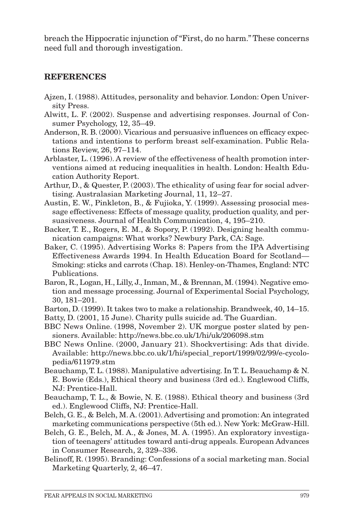breach the Hippocratic injunction of "First, do no harm." These concerns need full and thorough investigation.

## **REFERENCES**

- Ajzen, I. (1988). Attitudes, personality and behavior. London: Open University Press.
- Alwitt, L. F. (2002). Suspense and advertising responses. Journal of Consumer Psychology, 12, 35–49.
- Anderson, R. B. (2000). Vicarious and persuasive influences on efficacy expectations and intentions to perform breast self-examination. Public Relations Review, 26, 97–114.
- Arblaster, L. (1996). A review of the effectiveness of health promotion interventions aimed at reducing inequalities in health. London: Health Education Authority Report.
- Arthur, D., & Quester, P. (2003). The ethicality of using fear for social advertising. Australasian Marketing Journal, 11, 12–27.
- Austin, E. W., Pinkleton, B., & Fujioka, Y. (1999). Assessing prosocial message effectiveness: Effects of message quality, production quality, and persuasiveness. Journal of Health Communication, 4, 195–210.
- Backer, T. E., Rogers, E. M., & Sopory, P. (1992). Designing health communication campaigns: What works? Newbury Park, CA: Sage.
- Baker, C. (1995). Advertising Works 8: Papers from the IPA Advertising Effectiveness Awards 1994. In Health Education Board for Scotland— Smoking: sticks and carrots (Chap. 18). Henley-on-Thames, England: NTC Publications.
- Baron, R., Logan, H., Lilly, J., Inman, M., & Brennan, M. (1994). Negative emotion and message processing. Journal of Experimental Social Psychology, 30, 181–201.
- Barton, D. (1999). It takes two to make a relationship. Brandweek, 40, 14–15.
- Batty, D. (2001, 15 June). Charity pulls suicide ad. The Guardian.
- BBC News Online. (1998, November 2). UK morgue poster slated by pensioners. Available: http://news.bbc.co.uk/1/hi/uk/206098.stm
- BBC News Online. (2000, January 21). Shockvertising: Ads that divide. Available: http://news.bbc.co.uk/1/hi/special\_report/1999/02/99/e-cycolopedia/611979.stm
- Beauchamp, T. L. (1988). Manipulative advertising. In T. L. Beauchamp & N. E. Bowie (Eds.), Ethical theory and business (3rd ed.). Englewood Cliffs, NJ: Prentice-Hall.
- Beauchamp, T. L., & Bowie, N. E. (1988). Ethical theory and business (3rd ed.). Englewood Cliffs, NJ: Prentice-Hall.
- Belch, G. E., & Belch, M. A. (2001). Advertising and promotion: An integrated marketing communications perspective (5th ed.). New York: McGraw-Hill.
- Belch, G. E., Belch, M. A., & Jones, M. A. (1995). An exploratory investigation of teenagers' attitudes toward anti-drug appeals. European Advances in Consumer Research, 2, 329–336.
- Belinoff, R. (1995). Branding: Confessions of a social marketing man. Social Marketing Quarterly, 2, 46–47.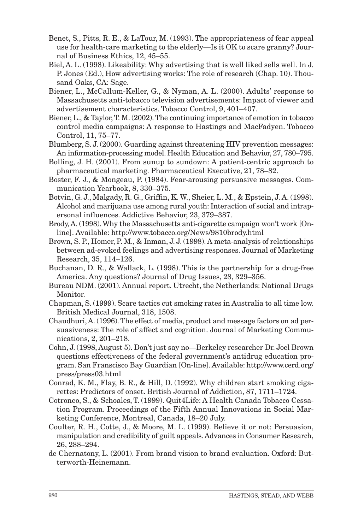- Benet, S., Pitts, R. E., & LaTour, M. (1993). The appropriateness of fear appeal use for health-care marketing to the elderly—Is it OK to scare granny? Journal of Business Ethics, 12, 45–55.
- Biel, A. L. (1998). Likeability: Why advertising that is well liked sells well. In J. P. Jones (Ed.), How advertising works: The role of research (Chap. 10). Thousand Oaks, CA: Sage.
- Biener, L., McCallum-Keller, G., & Nyman, A. L. (2000). Adults' response to Massachusetts anti-tobacco television advertisements: Impact of viewer and advertisement characteristics. Tobacco Control, 9, 401–407.
- Biener, L., & Taylor, T. M. (2002). The continuing importance of emotion in tobacco control media campaigns: A response to Hastings and MacFadyen. Tobacco Control, 11, 75–77.
- Blumberg, S. J. (2000). Guarding against threatening HIV prevention messages: An information-processing model. Health Education and Behavior, 27, 780–795.
- Bolling, J. H. (2001). From sunup to sundown: A patient-centric approach to pharmaceutical marketing. Pharmaceutical Executive, 21, 78–82.
- Boster, F. J., & Mongeau, P. (1984). Fear-arousing persuasive messages. Communication Yearbook, 8, 330–375.
- Botvin, G. J., Malgady, R. G., Griffin, K. W., Sheier, L. M., & Epstein, J. A. (1998). Alcohol and marijuana use among rural youth: Interaction of social and intrapersonal influences. Addictive Behavior, 23, 379–387.
- Brody, A. (1998). Why the Massachusetts anti-cigarette campaign won't work [Online]. Available: http://www.tobacco.org/News/9810brody.html
- Brown, S. P., Homer, P. M., & Inman, J. J. (1998). A meta-analysis of relationships between ad-evoked feelings and advertising responses. Journal of Marketing Research, 35, 114–126.
- Buchanan, D. R., & Wallack, L. (1998). This is the partnership for a drug-free America. Any questions? Journal of Drug Issues, 28, 329–356.
- Bureau NDM. (2001). Annual report. Utrecht, the Netherlands: National Drugs Monitor.
- Chapman, S. (1999). Scare tactics cut smoking rates in Australia to all time low. British Medical Journal, 318, 1508.
- Chaudhuri, A. (1996). The effect of media, product and message factors on ad persuasiveness: The role of affect and cognition. Journal of Marketing Communications, 2, 201–218.
- Cohn, J. (1998, August 5). Don't just say no—Berkeley researcher Dr. Joel Brown questions effectiveness of the federal government's antidrug education program. San Franscisco Bay Guardian [On-line]. Available: http://www.cerd.org/ press/press03.html
- Conrad, K. M., Flay, B. R., & Hill, D. (1992). Why children start smoking cigarettes: Predictors of onset. British Journal of Addiction, 87, 1711–1724.
- Cotroneo, S., & Schoales, T. (1999). Quit4Life: A Health Canada Tobacco Cessation Program. Proceedings of the Fifth Annual Innovations in Social Marketing Conference, Montreal, Canada, 18–20 July.
- Coulter, R. H., Cotte, J., & Moore, M. L. (1999). Believe it or not: Persuasion, manipulation and credibility of guilt appeals. Advances in Consumer Research, 26, 288–294.
- de Chernatony, L. (2001). From brand vision to brand evaluation. Oxford: Butterworth-Heinemann.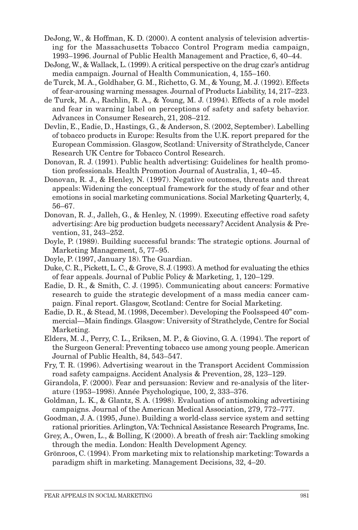- DeJong, W., & Hoffman, K. D. (2000). A content analysis of television advertising for the Massachusetts Tobacco Control Program media campaign, 1993–1996. Journal of Public Health Management and Practice, 6, 40–44.
- DeJong, W., & Wallack, L. (1999). A critical perspective on the drug czar's antidrug media campaign. Journal of Health Communication, 4, 155–160.
- de Turck, M. A., Goldhaber, G. M., Richetto, G. M., & Young, M. J. (1992). Effects of fear-arousing warning messages. Journal of Products Liability, 14, 217–223.
- de Turck, M. A., Rachlin, R. A., & Young, M. J. (1994). Effects of a role model and fear in warning label on perceptions of safety and safety behavior. Advances in Consumer Research, 21, 208–212.
- Devlin, E., Eadie, D., Hastings, G., & Anderson, S. (2002, September). Labelling of tobacco products in Europe: Results from the U.K. report prepared for the European Commission. Glasgow, Scotland: University of Strathclyde, Cancer Research UK Centre for Tobacco Control Research.
- Donovan, R. J. (1991). Public health advertising: Guidelines for health promotion professionals. Health Promotion Journal of Australia, 1, 40–45.
- Donovan, R. J., & Henley, N. (1997). Negative outcomes, threats and threat appeals: Widening the conceptual framework for the study of fear and other emotions in social marketing communications. Social Marketing Quarterly, 4, 56–67.
- Donovan, R. J., Jalleh, G., & Henley, N. (1999). Executing effective road safety advertising: Are big production budgets necessary? Accident Analysis & Prevention, 31, 243–252.
- Doyle, P. (1989). Building successful brands: The strategic options. Journal of Marketing Management, 5, 77–95.
- Doyle, P. (1997, January 18). The Guardian.
- Duke, C. R., Pickett, L. C., & Grove, S. J. (1993). A method for evaluating the ethics of fear appeals. Journal of Public Policy & Marketing, 1, 120–129.
- Eadie, D. R., & Smith, C. J. (1995). Communicating about cancers: Formative research to guide the strategic development of a mass media cancer campaign. Final report. Glasgow, Scotland: Centre for Social Marketing.
- Eadie, D. R., & Stead, M. (1998, December). Developing the Foolsspeed 40" commercial—Main findings. Glasgow: University of Strathclyde, Centre for Social Marketing.
- Elders, M. J., Perry, C. L., Eriksen, M. P., & Giovino, G. A. (1994). The report of the Surgeon General: Preventing tobacco use among young people. American Journal of Public Health, 84, 543–547.
- Fry, T. R. (1996). Advertising wearout in the Transport Accident Commission road safety campaigns. Accident Analysis & Prevention, 28, 123–129.
- Girandola, F. (2000). Fear and persuasion: Review and re-analysis of the literature (1953–1998). Année Psychologique, 100, 2, 333–376.
- Goldman, L. K., & Glantz, S. A. (1998). Evaluation of antismoking advertising campaigns. Journal of the American Medical Association, 279, 772–777.
- Goodman, J. A. (1995, June). Building a world-class service system and setting rational priorities. Arlington, VA: Technical Assistance Research Programs, Inc.
- Grey, A., Owen, L., & Bolling, K (2000). A breath of fresh air: Tackling smoking through the media. London: Health Development Agency.
- Grönroos, C. (1994). From marketing mix to relationship marketing: Towards a paradigm shift in marketing. Management Decisions, 32, 4–20.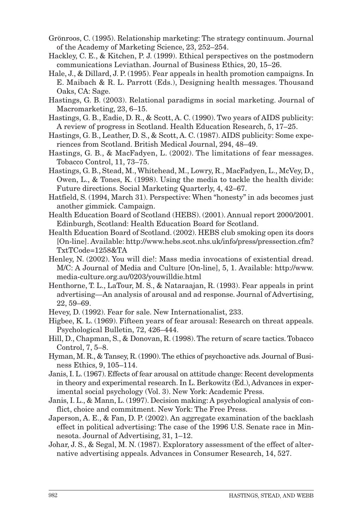- Grönroos, C. (1995). Relationship marketing: The strategy continuum. Journal of the Academy of Marketing Science, 23, 252–254.
- Hackley, C. E., & Kitchen, P. J. (1999). Ethical perspectives on the postmodern communications Leviathan. Journal of Business Ethics, 20, 15–26.
- Hale, J., & Dillard, J. P. (1995). Fear appeals in health promotion campaigns. In E. Maibach & R. L. Parrott (Eds.), Designing health messages. Thousand Oaks, CA: Sage.
- Hastings, G. B. (2003). Relational paradigms in social marketing. Journal of Macromarketing, 23, 6–15.
- Hastings, G. B., Eadie, D. R., & Scott, A. C. (1990). Two years of AIDS publicity: A review of progress in Scotland. Health Education Research, 5, 17–25.
- Hastings, G. B., Leather, D. S., & Scott, A. C. (1987). AIDS publicity: Some experiences from Scotland. British Medical Journal, 294, 48–49.
- Hastings, G. B., & MacFadyen, L. (2002). The limitations of fear messages. Tobacco Control, 11, 73–75.
- Hastings, G. B., Stead, M., Whitehead, M., Lowry, R., MacFadyen, L., McVey, D., Owen, L., & Tones, K. (1998). Using the media to tackle the health divide: Future directions. Social Marketing Quarterly, 4, 42–67.
- Hatfield, S. (1994, March 31). Perspective: When "honesty" in ads becomes just another gimmick. Campaign.
- Health Education Board of Scotland (HEBS). (2001). Annual report 2000/2001. Edinburgh, Scotland: Health Education Board for Scotland.
- Health Education Board of Scotland. (2002). HEBS club smoking open its doors [On-line]. Available: http://www.hebs.scot.nhs.uk/info/press/pressection.cfm? TxtTCode=1258&TA
- Henley, N. (2002). You will die!: Mass media invocations of existential dread. M/C: A Journal of Media and Culture [On-line], 5, 1. Available: http://www. media-culture.org.au/0203/youwilldie.html
- Henthorne, T. L., LaTour, M. S., & Nataraajan, R. (1993). Fear appeals in print advertising—An analysis of arousal and ad response. Journal of Advertising, 22, 59–69.
- Hevey, D. (1992). Fear for sale. New Internationalist, 233.
- Higbee, K. L. (1969). Fifteen years of fear arousal: Research on threat appeals. Psychological Bulletin, 72, 426–444.
- Hill, D., Chapman, S., & Donovan, R. (1998). The return of scare tactics. Tobacco Control, 7, 5–8.
- Hyman, M. R., & Tansey, R. (1990). The ethics of psychoactive ads. Journal of Business Ethics, 9, 105–114.
- Janis, I. L. (1967). Effects of fear arousal on attitude change: Recent developments in theory and experimental research. In L. Berkowitz (Ed.), Advances in experimental social psychology (Vol. 3). New York: Academic Press.
- Janis, I. L., & Mann, L. (1997). Decision making: A psychological analysis of conflict, choice and commitment. New York: The Free Press.
- Japerson, A. E., & Fan, D. P. (2002). An aggregate examination of the backlash effect in political advertising: The case of the 1996 U.S. Senate race in Minnesota. Journal of Advertising, 31, 1–12.
- Johar, J. S., & Segal, M. N. (1987). Exploratory assessment of the effect of alternative advertising appeals. Advances in Consumer Research, 14, 527.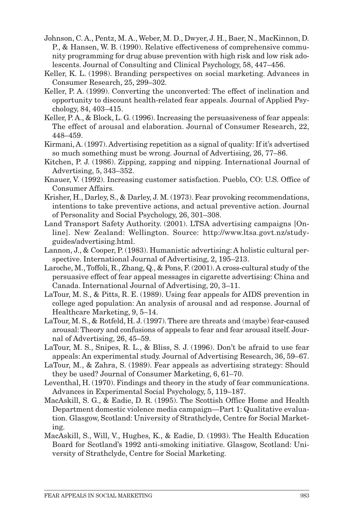- Johnson, C. A., Pentz, M. A., Weber, M. D., Dwyer, J. H., Baer, N., MacKinnon, D. P., & Hansen, W. B. (1990). Relative effectiveness of comprehensive community programming for drug abuse prevention with high risk and low risk adolescents. Journal of Consulting and Clinical Psychology, 58, 447–456.
- Keller, K. L. (1998). Branding perspectives on social marketing. Advances in Consumer Research, 25, 299–302.
- Keller, P. A. (1999). Converting the unconverted: The effect of inclination and opportunity to discount health-related fear appeals. Journal of Applied Psychology, 84, 403–415.
- Keller, P. A., & Block, L. G. (1996). Increasing the persuasiveness of fear appeals: The effect of arousal and elaboration. Journal of Consumer Research, 22, 448–459.
- Kirmani, A. (1997). Advertising repetition as a signal of quality: If it's advertised so much something must be wrong. Journal of Advertising, 26, 77–86.
- Kitchen, P. J. (1986). Zipping, zapping and nipping. International Journal of Advertising, 5, 343–352.
- Knauer, V. (1992). Increasing customer satisfaction. Pueblo, CO: U.S. Office of Consumer Affairs.
- Krisher, H., Darley, S., & Darley, J. M. (1973). Fear provoking recommendations, intentions to take preventive actions, and actual preventive action. Journal of Personality and Social Psychology, 26, 301–308.
- Land Transport Safety Authority. (2001). LTSA advertising campaigns [Online]. New Zealand: Wellington. Source: http://www.ltsa.govt.nz/studyguides/advertising.html.
- Lannon, J., & Cooper, P. (1983). Humanistic advertising: A holistic cultural perspective. International Journal of Advertising, 2, 195–213.
- Laroche, M., Toffoli, R., Zhang, Q., & Pons, F. (2001). A cross-cultural study of the persuasive effect of fear appeal messages in cigarette advertising: China and Canada. International Journal of Advertising, 20, 3–11.
- LaTour, M. S., & Pitts, R. E. (1989). Using fear appeals for AIDS prevention in college aged population: An analysis of arousal and ad response. Journal of Healthcare Marketing, 9, 5–14.
- LaTour, M. S., & Rotfeld, H. J. (1997). There are threats and (maybe) fear-caused arousal: Theory and confusions of appeals to fear and fear arousal itself. Journal of Advertising, 26, 45–59.
- LaTour, M. S., Snipes, R. L., & Bliss, S. J. (1996). Don't be afraid to use fear appeals: An experimental study. Journal of Advertising Research, 36, 59–67.
- LaTour, M., & Zahra, S. (1989). Fear appeals as advertising strategy: Should they be used? Journal of Consumer Marketing, 6, 61–70.
- Leventhal, H. (1970). Findings and theory in the study of fear communications. Advances in Experimental Social Psychology, 5, 119–187.
- MacAskill, S. G., & Eadie, D. R. (1995). The Scottish Office Home and Health Department domestic violence media campaign—Part 1: Qualitative evaluation. Glasgow, Scotland: University of Strathclyde, Centre for Social Marketing.
- MacAskill, S., Will, V., Hughes, K., & Eadie, D. (1993). The Health Education Board for Scotland's 1992 anti-smoking initiative. Glasgow, Scotland: University of Strathclyde, Centre for Social Marketing.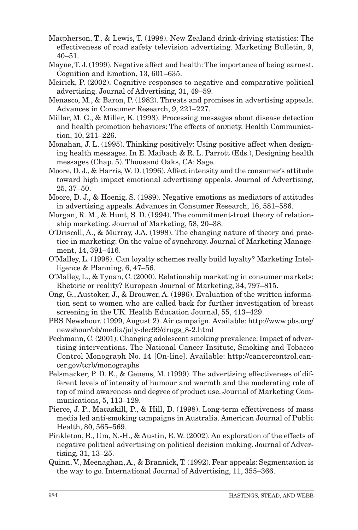- Macpherson, T., & Lewis, T. (1998). New Zealand drink-driving statistics: The effectiveness of road safety television advertising. Marketing Bulletin, 9, 40–51.
- Mayne, T. J. (1999). Negative affect and health: The importance of being earnest. Cognition and Emotion, 13, 601–635.
- Meirick, P. (2002). Cognitive responses to negative and comparative political advertising. Journal of Advertising, 31, 49–59.
- Menasco, M., & Baron, P. (1982). Threats and promises in advertising appeals. Advances in Consumer Research, 9, 221–227.
- Millar, M. G., & Miller, K. (1998). Processing messages about disease detection and health promotion behaviors: The effects of anxiety. Health Communication, 10, 211–226.
- Monahan, J. L. (1995). Thinking positively: Using positive affect when designing health messages. In E. Maibach & R. L. Parrott (Eds.), Designing health messages (Chap. 5). Thousand Oaks, CA: Sage.
- Moore, D. J., & Harris, W. D. (1996). Affect intensity and the consumer's attitude toward high impact emotional advertising appeals. Journal of Advertising, 25, 37–50.
- Moore, D. J., & Hoenig, S. (1989). Negative emotions as mediators of attitudes in advertising appeals. Advances in Consumer Research, 16, 581–586.
- Morgan, R. M., & Hunt, S. D. (1994). The commitment-trust theory of relationship marketing. Journal of Marketing, 58, 20–38.
- O'Driscoll, A., & Murray, J.A. (1998). The changing nature of theory and practice in marketing: On the value of synchrony. Journal of Marketing Management, 14, 391–416.
- O'Malley, L. (1998). Can loyalty schemes really build loyalty? Marketing Intelligence & Planning, 6, 47–56.
- O'Malley, L., & Tynan, C. (2000). Relationship marketing in consumer markets: Rhetoric or reality? European Journal of Marketing, 34, 797–815.
- Ong, G., Austoker, J., & Brouwer, A. (1996). Evaluation of the written information sent to women who are called back for further investigation of breast screening in the UK. Health Education Journal, 55, 413–429.
- PBS Newshour. (1999, August 2). Air campaign. Available: http://www.pbs.org/ newshour/bb/media/july-dec99/drugs\_8-2.html
- Pechmann, C. (2001). Changing adolescent smoking prevalence: Impact of advertising interventions. The National Cancer Insitute, Smoking and Tobacco Control Monograph No. 14 [On-line]. Available: http://cancercontrol.cancer.gov/tcrb/monographs
- Pelsmacker, P. D. E., & Geuens, M. (1999). The advertising effectiveness of different levels of intensity of humour and warmth and the moderating role of top of mind awareness and degree of product use. Journal of Marketing Communications, 5, 113–129.
- Pierce, J. P., Macaskill, P., & Hill, D. (1998). Long-term effectiveness of mass media led anti-smoking campaigns in Australia. American Journal of Public Health, 80, 565–569.
- Pinkleton, B., Um, N.-H., & Austin, E. W. (2002). An exploration of the effects of negative political advertising on political decision making. Journal of Advertising, 31, 13–25.
- Quinn, V., Meenaghan, A., & Brannick, T. (1992). Fear appeals: Segmentation is the way to go. International Journal of Advertising, 11, 355–366.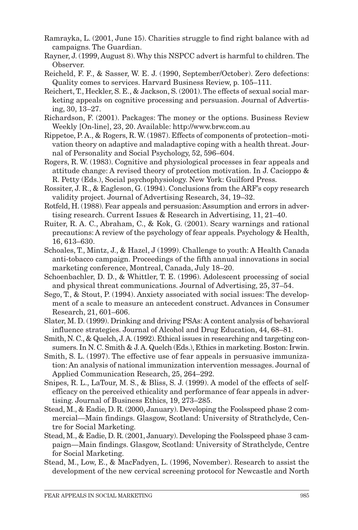- Ramrayka, L. (2001, June 15). Charities struggle to find right balance with ad campaigns. The Guardian.
- Rayner, J. (1999, August 8). Why this NSPCC advert is harmful to children. The Observer.
- Reicheld, F. F., & Sasser, W. E. J. (1990, September/October). Zero defections: Quality comes to services. Harvard Business Review, p. 105–111.
- Reichert, T., Heckler, S. E., & Jackson, S. (2001). The effects of sexual social marketing appeals on cognitive processing and persuasion. Journal of Advertising, 30, 13–27.
- Richardson, F. (2001). Packages: The money or the options. Business Review Weekly [On-line], 23, 20. Available: http://www.brw.com.au
- Rippetoe, P. A., & Rogers, R. W. (1987). Effects of components of protection–motivation theory on adaptive and maladaptive coping with a health threat. Journal of Personality and Social Psychology, 52, 596–604.
- Rogers, R. W. (1983). Cognitive and physiological processes in fear appeals and attitude change: A revised theory of protection motivation. In J. Cacioppo & R. Petty (Eds.), Social psychophysiology. New York: Guilford Press.
- Rossiter, J. R., & Eagleson, G. (1994). Conclusions from the ARF's copy research validity project. Journal of Advertising Research, 34, 19–32.
- Rotfeld, H. (1988). Fear appeals and persuasion: Assumption and errors in advertising research. Current Issues & Research in Advertising, 11, 21–40.
- Ruiter, R. A. C., Abraham, C., & Kok, G. (2001). Scary warnings and rational precautions: A review of the psychology of fear appeals. Psychology & Health, 16, 613–630.
- Schoales, T., Mintz, J., & Hazel, J (1999). Challenge to youth: A Health Canada anti-tobacco campaign. Proceedings of the fifth annual innovations in social marketing conference, Montreal, Canada, July 18–20.
- Schoenbachler, D. D., & Whittler, T. E. (1996). Adolescent processing of social and physical threat communications. Journal of Advertising, 25, 37–54.
- Sego, T., & Stout, P. (1994). Anxiety associated with social issues: The development of a scale to measure an antecedent construct. Advances in Consumer Research, 21, 601–606.
- Slater, M. D. (1999). Drinking and driving PSAs: A content analysis of behavioral influence strategies. Journal of Alcohol and Drug Education, 44, 68–81.
- Smith, N. C., & Quelch, J.A. (1992). Ethical issues in researching and targeting consumers. In N. C. Smith & J.A. Quelch (Eds.), Ethics in marketing. Boston: Irwin.
- Smith, S. L. (1997). The effective use of fear appeals in persuasive immunization: An analysis of national immunization intervention messages. Journal of Applied Communication Research, 25, 264–292.
- Snipes, R. L., LaTour, M. S., & Bliss, S. J. (1999). A model of the effects of selfefficacy on the perceived ethicality and performance of fear appeals in advertising. Journal of Business Ethics, 19, 273–285.
- Stead, M., & Eadie, D. R. (2000, January). Developing the Foolsspeed phase 2 commercial—Main findings. Glasgow, Scotland: University of Strathclyde, Centre for Social Marketing.
- Stead, M., & Eadie, D. R. (2001, January). Developing the Foolsspeed phase 3 campaign—Main findings. Glasgow, Scotland: University of Strathclyde, Centre for Social Marketing.
- Stead, M., Low, E., & MacFadyen, L. (1996, November). Research to assist the development of the new cervical screening protocol for Newcastle and North